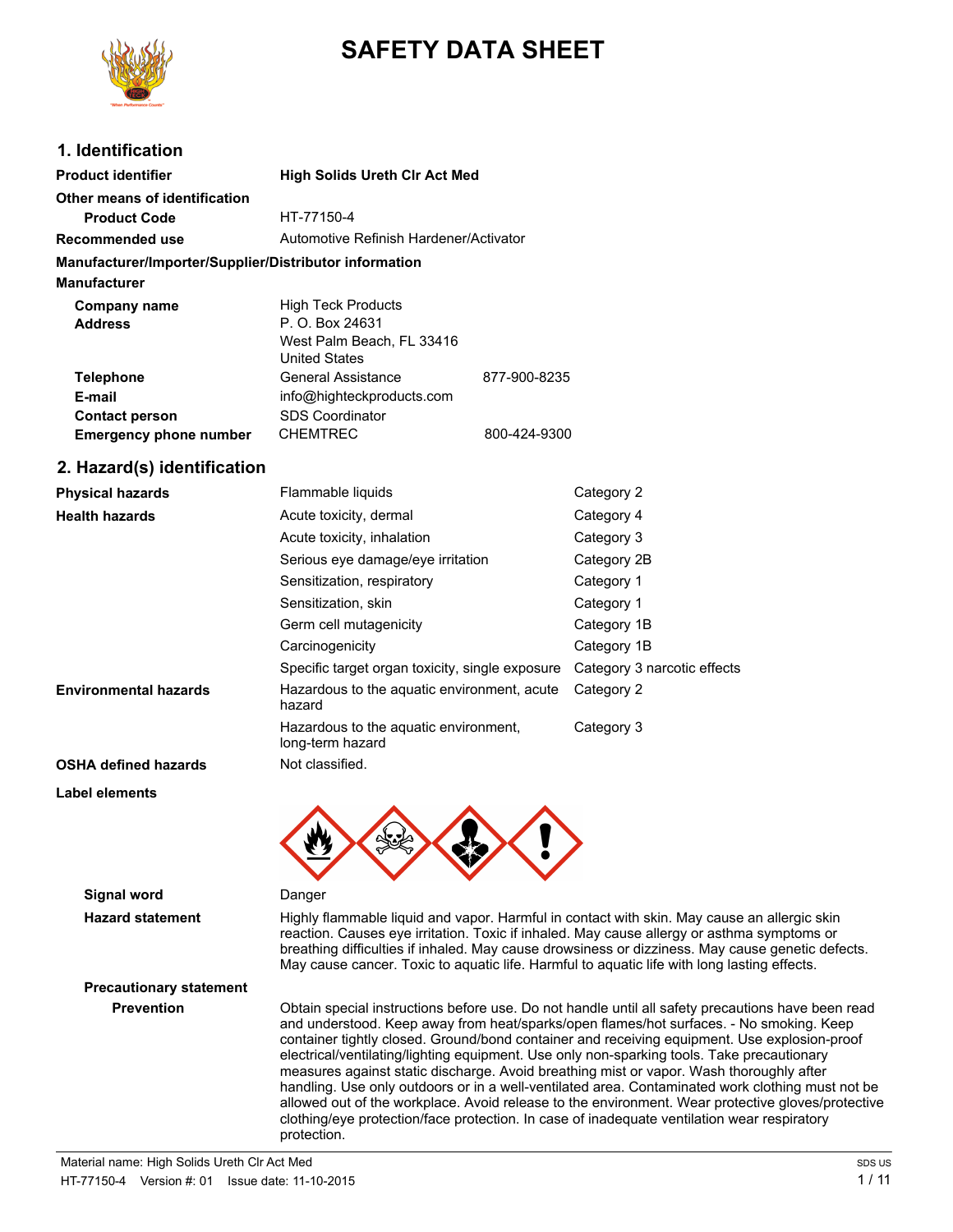

# **SAFETY DATA SHEET**

## **1. Identification**

| <b>Product identifier</b>                              | <b>High Solids Ureth Cir Act Med</b>   |              |
|--------------------------------------------------------|----------------------------------------|--------------|
| Other means of identification                          |                                        |              |
| <b>Product Code</b>                                    | HT-77150-4                             |              |
| Recommended use                                        | Automotive Refinish Hardener/Activator |              |
| Manufacturer/Importer/Supplier/Distributor information |                                        |              |
| <b>Manufacturer</b>                                    |                                        |              |
| Company name                                           | <b>High Teck Products</b>              |              |
| <b>Address</b>                                         | P. O. Box 24631                        |              |
|                                                        | West Palm Beach, FL 33416              |              |
|                                                        | <b>United States</b>                   |              |
| <b>Telephone</b>                                       | General Assistance                     | 877-900-8235 |
| E-mail                                                 | info@highteckproducts.com              |              |
| <b>Contact person</b>                                  | <b>SDS Coordinator</b>                 |              |
| <b>Emergency phone number</b>                          | <b>CHEMTREC</b>                        | 800-424-9300 |

### **2. Hazard(s) identification**

| <b>Physical hazards</b>      | Flammable liquids                                         | Category 2                  |
|------------------------------|-----------------------------------------------------------|-----------------------------|
| <b>Health hazards</b>        | Acute toxicity, dermal                                    | Category 4                  |
|                              | Acute toxicity, inhalation                                | Category 3                  |
|                              | Serious eye damage/eye irritation                         | Category 2B                 |
|                              | Sensitization, respiratory                                | Category 1                  |
|                              | Sensitization, skin                                       | Category 1                  |
|                              | Germ cell mutagenicity                                    | Category 1B                 |
|                              | Carcinogenicity                                           | Category 1B                 |
|                              | Specific target organ toxicity, single exposure           | Category 3 narcotic effects |
| <b>Environmental hazards</b> | Hazardous to the aquatic environment, acute<br>hazard     | Category 2                  |
|                              | Hazardous to the aguatic environment,<br>long-term hazard | Category 3                  |
| <b>OSHA defined hazards</b>  | Not classified.                                           |                             |
| Label elements               |                                                           |                             |



# **Signal word** Danger

**Hazard statement** Highly flammable liquid and vapor. Harmful in contact with skin. May cause an allergic skin reaction. Causes eye irritation. Toxic if inhaled. May cause allergy or asthma symptoms or breathing difficulties if inhaled. May cause drowsiness or dizziness. May cause genetic defects. May cause cancer. Toxic to aquatic life. Harmful to aquatic life with long lasting effects.

# **Precautionary statement**

**Prevention** Obtain special instructions before use. Do not handle until all safety precautions have been read and understood. Keep away from heat/sparks/open flames/hot surfaces. - No smoking. Keep container tightly closed. Ground/bond container and receiving equipment. Use explosion-proof electrical/ventilating/lighting equipment. Use only non-sparking tools. Take precautionary measures against static discharge. Avoid breathing mist or vapor. Wash thoroughly after handling. Use only outdoors or in a well-ventilated area. Contaminated work clothing must not be allowed out of the workplace. Avoid release to the environment. Wear protective gloves/protective clothing/eye protection/face protection. In case of inadequate ventilation wear respiratory protection.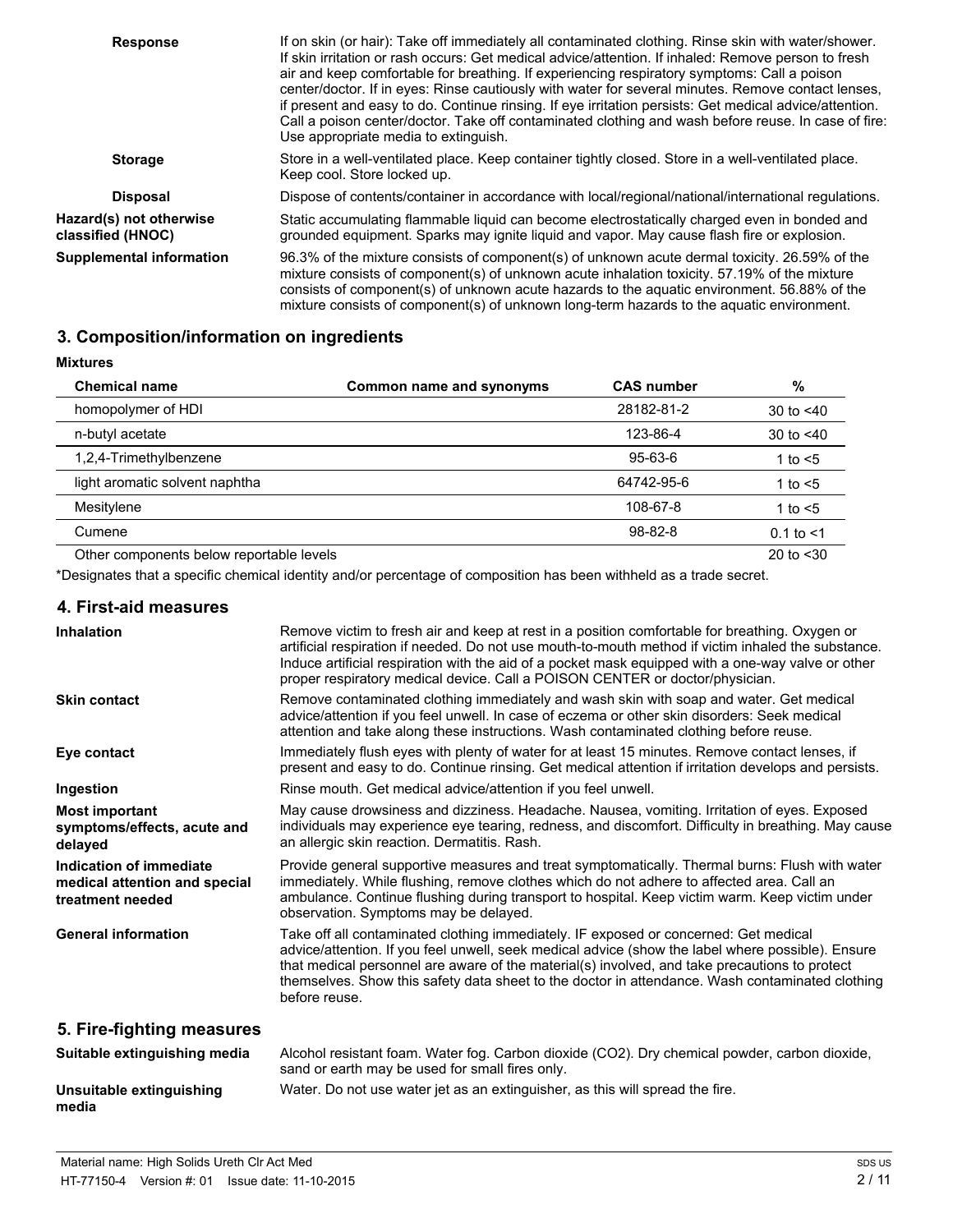| <b>Response</b>                              | If on skin (or hair): Take off immediately all contaminated clothing. Rinse skin with water/shower.<br>If skin irritation or rash occurs: Get medical advice/attention. If inhaled: Remove person to fresh<br>air and keep comfortable for breathing. If experiencing respiratory symptoms: Call a poison<br>center/doctor. If in eyes: Rinse cautiously with water for several minutes. Remove contact lenses,<br>if present and easy to do. Continue rinsing. If eye irritation persists: Get medical advice/attention.<br>Call a poison center/doctor. Take off contaminated clothing and wash before reuse. In case of fire:<br>Use appropriate media to extinguish. |
|----------------------------------------------|--------------------------------------------------------------------------------------------------------------------------------------------------------------------------------------------------------------------------------------------------------------------------------------------------------------------------------------------------------------------------------------------------------------------------------------------------------------------------------------------------------------------------------------------------------------------------------------------------------------------------------------------------------------------------|
| <b>Storage</b>                               | Store in a well-ventilated place. Keep container tightly closed. Store in a well-ventilated place.<br>Keep cool. Store locked up.                                                                                                                                                                                                                                                                                                                                                                                                                                                                                                                                        |
| <b>Disposal</b>                              | Dispose of contents/container in accordance with local/regional/national/international regulations.                                                                                                                                                                                                                                                                                                                                                                                                                                                                                                                                                                      |
| Hazard(s) not otherwise<br>classified (HNOC) | Static accumulating flammable liquid can become electrostatically charged even in bonded and<br>grounded equipment. Sparks may ignite liquid and vapor. May cause flash fire or explosion.                                                                                                                                                                                                                                                                                                                                                                                                                                                                               |
| <b>Supplemental information</b>              | 96.3% of the mixture consists of component(s) of unknown acute dermal toxicity. 26.59% of the<br>mixture consists of component(s) of unknown acute inhalation toxicity. 57.19% of the mixture<br>consists of component(s) of unknown acute hazards to the aquatic environment. 56.88% of the<br>mixture consists of component(s) of unknown long-term hazards to the aquatic environment.                                                                                                                                                                                                                                                                                |

# **3. Composition/information on ingredients**

**Mixtures**

| <b>Chemical name</b>                     | Common name and synonyms | <b>CAS number</b> | %              |
|------------------------------------------|--------------------------|-------------------|----------------|
| homopolymer of HDI                       |                          | 28182-81-2        | 30 to $< 40$   |
| n-butyl acetate                          |                          | 123-86-4          | 30 to $< 40$   |
| 1,2,4-Trimethylbenzene                   |                          | $95 - 63 - 6$     | 1 to $<$ 5     |
| light aromatic solvent naphtha           |                          | 64742-95-6        | 1 to $<$ 5     |
| Mesitylene                               |                          | 108-67-8          | 1 to $<$ 5     |
| Cumene                                   |                          | $98 - 82 - 8$     | $0.1$ to $< 1$ |
| Other components below reportable levels |                          |                   | 20 to $<$ 30   |

\*Designates that a specific chemical identity and/or percentage of composition has been withheld as a trade secret.

### **4. First-aid measures**

| <b>Inhalation</b>                                                            | Remove victim to fresh air and keep at rest in a position comfortable for breathing. Oxygen or<br>artificial respiration if needed. Do not use mouth-to-mouth method if victim inhaled the substance.<br>Induce artificial respiration with the aid of a pocket mask equipped with a one-way valve or other<br>proper respiratory medical device. Call a POISON CENTER or doctor/physician.                    |
|------------------------------------------------------------------------------|----------------------------------------------------------------------------------------------------------------------------------------------------------------------------------------------------------------------------------------------------------------------------------------------------------------------------------------------------------------------------------------------------------------|
| <b>Skin contact</b>                                                          | Remove contaminated clothing immediately and wash skin with soap and water. Get medical<br>advice/attention if you feel unwell. In case of eczema or other skin disorders: Seek medical<br>attention and take along these instructions. Wash contaminated clothing before reuse.                                                                                                                               |
| Eye contact                                                                  | Immediately flush eyes with plenty of water for at least 15 minutes. Remove contact lenses, if<br>present and easy to do. Continue rinsing. Get medical attention if irritation develops and persists.                                                                                                                                                                                                         |
| Ingestion                                                                    | Rinse mouth. Get medical advice/attention if you feel unwell.                                                                                                                                                                                                                                                                                                                                                  |
| <b>Most important</b><br>symptoms/effects, acute and<br>delayed              | May cause drowsiness and dizziness. Headache. Nausea, vomiting. Irritation of eyes. Exposed<br>individuals may experience eye tearing, redness, and discomfort. Difficulty in breathing. May cause<br>an allergic skin reaction. Dermatitis. Rash.                                                                                                                                                             |
| Indication of immediate<br>medical attention and special<br>treatment needed | Provide general supportive measures and treat symptomatically. Thermal burns: Flush with water<br>immediately. While flushing, remove clothes which do not adhere to affected area. Call an<br>ambulance. Continue flushing during transport to hospital. Keep victim warm. Keep victim under<br>observation. Symptoms may be delayed.                                                                         |
| <b>General information</b>                                                   | Take off all contaminated clothing immediately. IF exposed or concerned: Get medical<br>advice/attention. If you feel unwell, seek medical advice (show the label where possible). Ensure<br>that medical personnel are aware of the material(s) involved, and take precautions to protect<br>themselves. Show this safety data sheet to the doctor in attendance. Wash contaminated clothing<br>before reuse. |
| 5. Fire-fighting measures                                                    |                                                                                                                                                                                                                                                                                                                                                                                                                |
| Suitable extinguishing media                                                 | Alcohol resistant foam. Water fog. Carbon dioxide (CO2). Dry chemical powder, carbon dioxide,<br>sand or earth may be used for small fires only.                                                                                                                                                                                                                                                               |

| Unsuitable extinguishing | Water. Do not use water jet as an extinguisher, as this will spread the fire. |
|--------------------------|-------------------------------------------------------------------------------|
| media                    |                                                                               |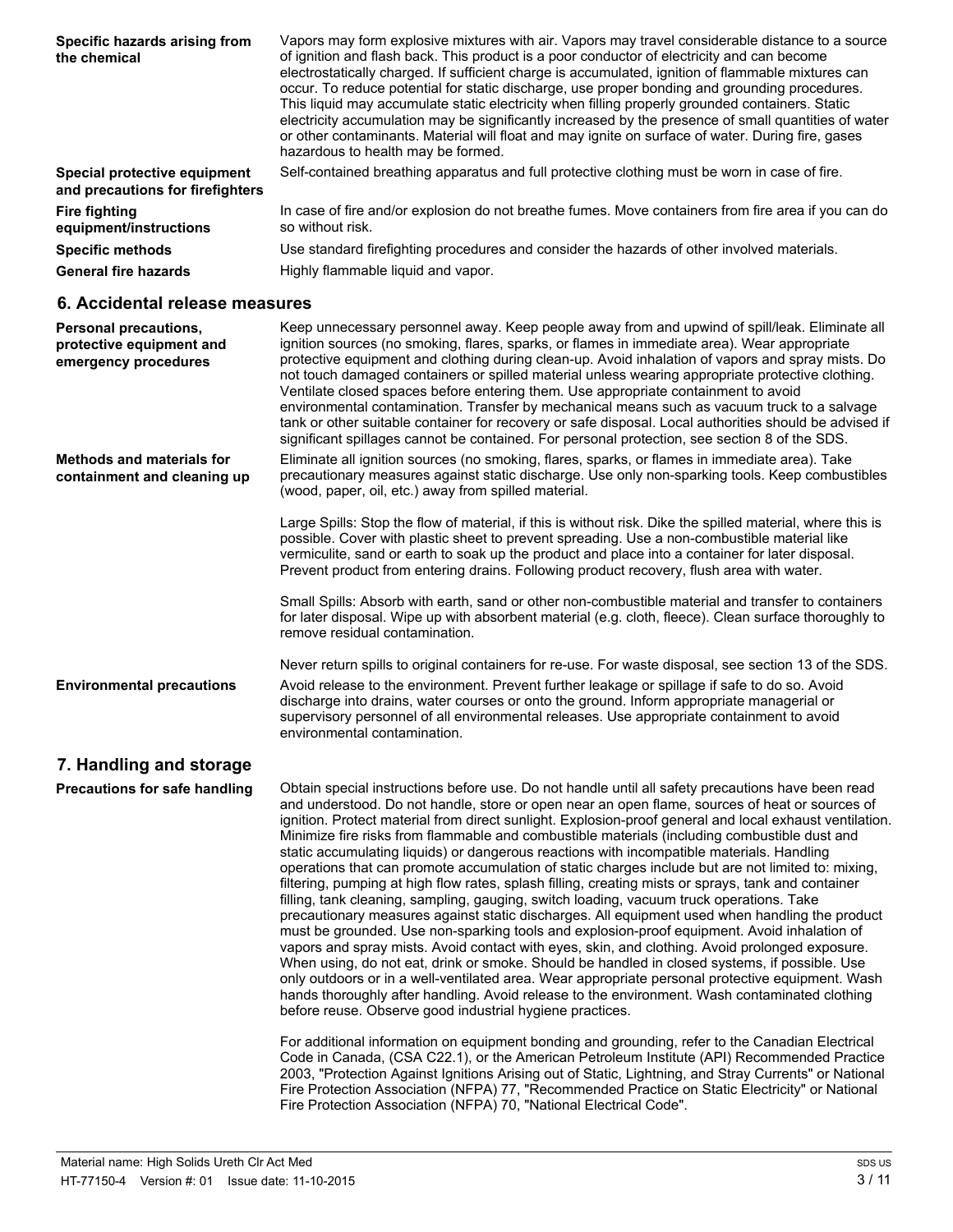| Specific hazards arising from<br>the chemical                    | Vapors may form explosive mixtures with air. Vapors may travel considerable distance to a source<br>of ignition and flash back. This product is a poor conductor of electricity and can become<br>electrostatically charged. If sufficient charge is accumulated, ignition of flammable mixtures can<br>occur. To reduce potential for static discharge, use proper bonding and grounding procedures.<br>This liquid may accumulate static electricity when filling properly grounded containers. Static<br>electricity accumulation may be significantly increased by the presence of small quantities of water<br>or other contaminants. Material will float and may ignite on surface of water. During fire, gases<br>hazardous to health may be formed. |
|------------------------------------------------------------------|-------------------------------------------------------------------------------------------------------------------------------------------------------------------------------------------------------------------------------------------------------------------------------------------------------------------------------------------------------------------------------------------------------------------------------------------------------------------------------------------------------------------------------------------------------------------------------------------------------------------------------------------------------------------------------------------------------------------------------------------------------------|
| Special protective equipment<br>and precautions for firefighters | Self-contained breathing apparatus and full protective clothing must be worn in case of fire.                                                                                                                                                                                                                                                                                                                                                                                                                                                                                                                                                                                                                                                               |
| <b>Fire fighting</b><br>equipment/instructions                   | In case of fire and/or explosion do not breathe fumes. Move containers from fire area if you can do<br>so without risk.                                                                                                                                                                                                                                                                                                                                                                                                                                                                                                                                                                                                                                     |
| <b>Specific methods</b>                                          | Use standard firefighting procedures and consider the hazards of other involved materials.                                                                                                                                                                                                                                                                                                                                                                                                                                                                                                                                                                                                                                                                  |
| <b>General fire hazards</b>                                      | Highly flammable liquid and vapor.                                                                                                                                                                                                                                                                                                                                                                                                                                                                                                                                                                                                                                                                                                                          |

#### **6. Accidental release measures**

| <b>Personal precautions,</b><br>protective equipment and<br>emergency procedures | Keep unnecessary personnel away. Keep people away from and upwind of spill/leak. Eliminate all<br>ignition sources (no smoking, flares, sparks, or flames in immediate area). Wear appropriate<br>protective equipment and clothing during clean-up. Avoid inhalation of vapors and spray mists. Do<br>not touch damaged containers or spilled material unless wearing appropriate protective clothing.<br>Ventilate closed spaces before entering them. Use appropriate containment to avoid<br>environmental contamination. Transfer by mechanical means such as vacuum truck to a salvage<br>tank or other suitable container for recovery or safe disposal. Local authorities should be advised if<br>significant spillages cannot be contained. For personal protection, see section 8 of the SDS. |
|----------------------------------------------------------------------------------|---------------------------------------------------------------------------------------------------------------------------------------------------------------------------------------------------------------------------------------------------------------------------------------------------------------------------------------------------------------------------------------------------------------------------------------------------------------------------------------------------------------------------------------------------------------------------------------------------------------------------------------------------------------------------------------------------------------------------------------------------------------------------------------------------------|
| <b>Methods and materials for</b><br>containment and cleaning up                  | Eliminate all ignition sources (no smoking, flares, sparks, or flames in immediate area). Take<br>precautionary measures against static discharge. Use only non-sparking tools. Keep combustibles<br>(wood, paper, oil, etc.) away from spilled material.                                                                                                                                                                                                                                                                                                                                                                                                                                                                                                                                               |
|                                                                                  | Large Spills: Stop the flow of material, if this is without risk. Dike the spilled material, where this is<br>possible. Cover with plastic sheet to prevent spreading. Use a non-combustible material like<br>vermiculite, sand or earth to soak up the product and place into a container for later disposal.<br>Prevent product from entering drains. Following product recovery, flush area with water.                                                                                                                                                                                                                                                                                                                                                                                              |
|                                                                                  | Small Spills: Absorb with earth, sand or other non-combustible material and transfer to containers<br>for later disposal. Wipe up with absorbent material (e.g. cloth, fleece). Clean surface thoroughly to<br>remove residual contamination.                                                                                                                                                                                                                                                                                                                                                                                                                                                                                                                                                           |
|                                                                                  | Never return spills to original containers for re-use. For waste disposal, see section 13 of the SDS.                                                                                                                                                                                                                                                                                                                                                                                                                                                                                                                                                                                                                                                                                                   |
| <b>Environmental precautions</b>                                                 | Avoid release to the environment. Prevent further leakage or spillage if safe to do so. Avoid<br>discharge into drains, water courses or onto the ground. Inform appropriate managerial or<br>supervisory personnel of all environmental releases. Use appropriate containment to avoid<br>environmental contamination.                                                                                                                                                                                                                                                                                                                                                                                                                                                                                 |
| 7. Handling and storage                                                          |                                                                                                                                                                                                                                                                                                                                                                                                                                                                                                                                                                                                                                                                                                                                                                                                         |

**Precautions for safe handling** Obtain special instructions before use. Do not handle until all safety precautions have been read and understood. Do not handle, store or open near an open flame, sources of heat or sources of ignition. Protect material from direct sunlight. Explosion-proof general and local exhaust ventilation. Minimize fire risks from flammable and combustible materials (including combustible dust and static accumulating liquids) or dangerous reactions with incompatible materials. Handling operations that can promote accumulation of static charges include but are not limited to: mixing, filtering, pumping at high flow rates, splash filling, creating mists or sprays, tank and container filling, tank cleaning, sampling, gauging, switch loading, vacuum truck operations. Take precautionary measures against static discharges. All equipment used when handling the product must be grounded. Use non-sparking tools and explosion-proof equipment. Avoid inhalation of vapors and spray mists. Avoid contact with eyes, skin, and clothing. Avoid prolonged exposure. When using, do not eat, drink or smoke. Should be handled in closed systems, if possible. Use only outdoors or in a well-ventilated area. Wear appropriate personal protective equipment. Wash hands thoroughly after handling. Avoid release to the environment. Wash contaminated clothing before reuse. Observe good industrial hygiene practices.

For additional information on equipment bonding and grounding, refer to the Canadian Electrical Code in Canada, (CSA C22.1), or the American Petroleum Institute (API) Recommended Practice 2003, "Protection Against Ignitions Arising out of Static, Lightning, and Stray Currents" or National Fire Protection Association (NFPA) 77, "Recommended Practice on Static Electricity" or National Fire Protection Association (NFPA) 70, "National Electrical Code".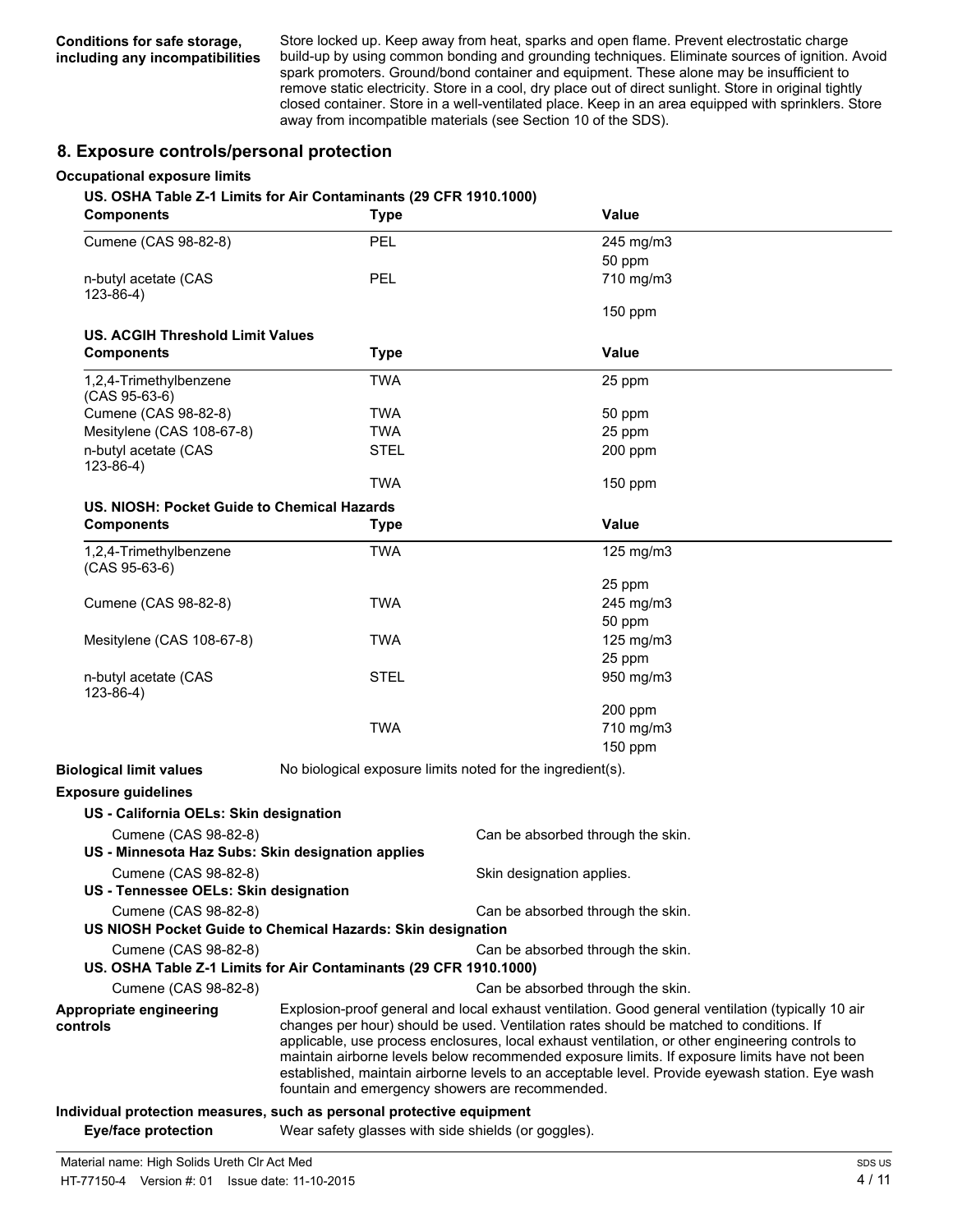Store locked up. Keep away from heat, sparks and open flame. Prevent electrostatic charge build-up by using common bonding and grounding techniques. Eliminate sources of ignition. Avoid spark promoters. Ground/bond container and equipment. These alone may be insufficient to remove static electricity. Store in a cool, dry place out of direct sunlight. Store in original tightly closed container. Store in a well-ventilated place. Keep in an area equipped with sprinklers. Store away from incompatible materials (see Section 10 of the SDS).

#### **8. Exposure controls/personal protection**

#### **Occupational exposure limits**

**US. OSHA Table Z-1 Limits for Air Contaminants (29 CFR 1910.1000)**

| <b>Components</b>                                             | <b>Type</b>                                                           | Value                                                                                                                                                                                                                                                                                                                                                                                                                                                                                              |
|---------------------------------------------------------------|-----------------------------------------------------------------------|----------------------------------------------------------------------------------------------------------------------------------------------------------------------------------------------------------------------------------------------------------------------------------------------------------------------------------------------------------------------------------------------------------------------------------------------------------------------------------------------------|
| Cumene (CAS 98-82-8)                                          | PEL                                                                   | 245 mg/m3                                                                                                                                                                                                                                                                                                                                                                                                                                                                                          |
|                                                               |                                                                       | 50 ppm                                                                                                                                                                                                                                                                                                                                                                                                                                                                                             |
| n-butyl acetate (CAS<br>$123 - 86 - 4$ )                      | <b>PEL</b>                                                            | 710 mg/m3                                                                                                                                                                                                                                                                                                                                                                                                                                                                                          |
|                                                               |                                                                       | $150$ ppm                                                                                                                                                                                                                                                                                                                                                                                                                                                                                          |
| <b>US. ACGIH Threshold Limit Values</b>                       |                                                                       |                                                                                                                                                                                                                                                                                                                                                                                                                                                                                                    |
| <b>Components</b>                                             | <b>Type</b>                                                           | <b>Value</b>                                                                                                                                                                                                                                                                                                                                                                                                                                                                                       |
| 1,2,4-Trimethylbenzene<br>$(CAS 95-63-6)$                     | <b>TWA</b>                                                            | 25 ppm                                                                                                                                                                                                                                                                                                                                                                                                                                                                                             |
| Cumene (CAS 98-82-8)                                          | <b>TWA</b>                                                            | 50 ppm                                                                                                                                                                                                                                                                                                                                                                                                                                                                                             |
| Mesitylene (CAS 108-67-8)                                     | <b>TWA</b>                                                            | 25 ppm                                                                                                                                                                                                                                                                                                                                                                                                                                                                                             |
| n-butyl acetate (CAS<br>$123 - 86 - 4$ )                      | <b>STEL</b>                                                           | 200 ppm                                                                                                                                                                                                                                                                                                                                                                                                                                                                                            |
|                                                               | <b>TWA</b>                                                            | 150 ppm                                                                                                                                                                                                                                                                                                                                                                                                                                                                                            |
| US. NIOSH: Pocket Guide to Chemical Hazards                   |                                                                       |                                                                                                                                                                                                                                                                                                                                                                                                                                                                                                    |
| <b>Components</b>                                             | <b>Type</b>                                                           | Value                                                                                                                                                                                                                                                                                                                                                                                                                                                                                              |
| 1,2,4-Trimethylbenzene<br>$(CAS 95-63-6)$                     | <b>TWA</b>                                                            | 125 mg/m3                                                                                                                                                                                                                                                                                                                                                                                                                                                                                          |
|                                                               |                                                                       | 25 ppm                                                                                                                                                                                                                                                                                                                                                                                                                                                                                             |
| Cumene (CAS 98-82-8)                                          | <b>TWA</b>                                                            | 245 mg/m3                                                                                                                                                                                                                                                                                                                                                                                                                                                                                          |
|                                                               |                                                                       | 50 ppm                                                                                                                                                                                                                                                                                                                                                                                                                                                                                             |
| Mesitylene (CAS 108-67-8)                                     | <b>TWA</b>                                                            | 125 mg/m3                                                                                                                                                                                                                                                                                                                                                                                                                                                                                          |
|                                                               |                                                                       | 25 ppm                                                                                                                                                                                                                                                                                                                                                                                                                                                                                             |
| n-butyl acetate (CAS<br>$123-86-4)$                           | <b>STEL</b>                                                           | 950 mg/m3                                                                                                                                                                                                                                                                                                                                                                                                                                                                                          |
|                                                               |                                                                       | 200 ppm                                                                                                                                                                                                                                                                                                                                                                                                                                                                                            |
|                                                               | <b>TWA</b>                                                            | 710 mg/m3                                                                                                                                                                                                                                                                                                                                                                                                                                                                                          |
|                                                               |                                                                       | $150$ ppm                                                                                                                                                                                                                                                                                                                                                                                                                                                                                          |
| <b>Biological limit values</b>                                | No biological exposure limits noted for the ingredient(s).            |                                                                                                                                                                                                                                                                                                                                                                                                                                                                                                    |
| <b>Exposure guidelines</b>                                    |                                                                       |                                                                                                                                                                                                                                                                                                                                                                                                                                                                                                    |
| US - California OELs: Skin designation                        |                                                                       |                                                                                                                                                                                                                                                                                                                                                                                                                                                                                                    |
| Cumene (CAS 98-82-8)                                          |                                                                       | Can be absorbed through the skin.                                                                                                                                                                                                                                                                                                                                                                                                                                                                  |
| US - Minnesota Haz Subs: Skin designation applies             |                                                                       |                                                                                                                                                                                                                                                                                                                                                                                                                                                                                                    |
| Cumene (CAS 98-82-8)<br>US - Tennessee OELs: Skin designation |                                                                       | Skin designation applies.                                                                                                                                                                                                                                                                                                                                                                                                                                                                          |
| Cumene (CAS 98-82-8)                                          | US NIOSH Pocket Guide to Chemical Hazards: Skin designation           | Can be absorbed through the skin.                                                                                                                                                                                                                                                                                                                                                                                                                                                                  |
| Cumene (CAS 98-82-8)                                          | US. OSHA Table Z-1 Limits for Air Contaminants (29 CFR 1910.1000)     | Can be absorbed through the skin.                                                                                                                                                                                                                                                                                                                                                                                                                                                                  |
| Cumene (CAS 98-82-8)                                          |                                                                       | Can be absorbed through the skin.                                                                                                                                                                                                                                                                                                                                                                                                                                                                  |
| Appropriate engineering<br>controls                           | fountain and emergency showers are recommended.                       | Explosion-proof general and local exhaust ventilation. Good general ventilation (typically 10 air<br>changes per hour) should be used. Ventilation rates should be matched to conditions. If<br>applicable, use process enclosures, local exhaust ventilation, or other engineering controls to<br>maintain airborne levels below recommended exposure limits. If exposure limits have not been<br>established, maintain airborne levels to an acceptable level. Provide eyewash station. Eye wash |
|                                                               | Individual protection measures, such as personal protective equipment |                                                                                                                                                                                                                                                                                                                                                                                                                                                                                                    |

**Eye/face protection** Wear safety glasses with side shields (or goggles).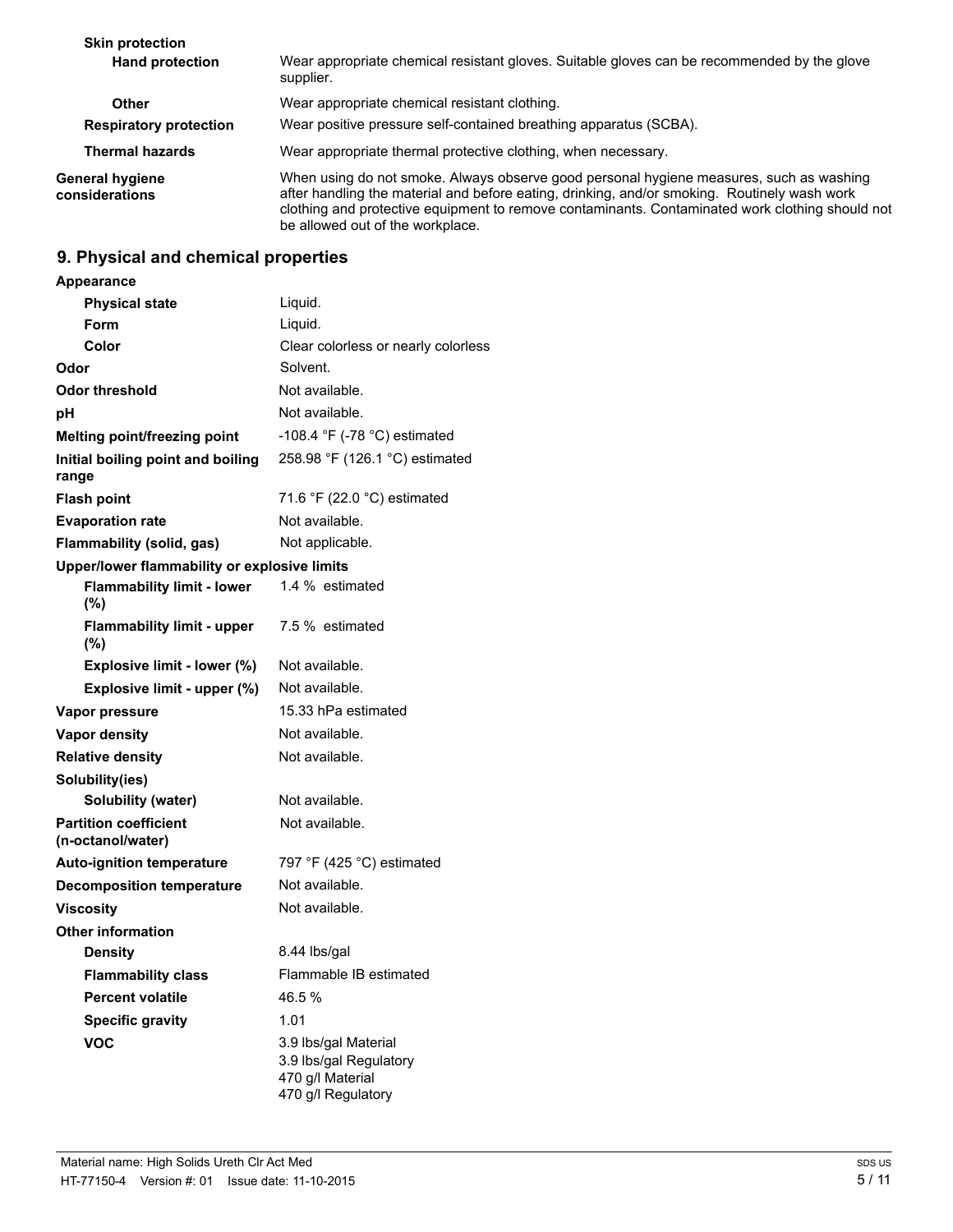| <b>Skin protection</b>            |                                                                                                                                                                                                                                                                                                                                |
|-----------------------------------|--------------------------------------------------------------------------------------------------------------------------------------------------------------------------------------------------------------------------------------------------------------------------------------------------------------------------------|
| <b>Hand protection</b>            | Wear appropriate chemical resistant gloves. Suitable gloves can be recommended by the glove<br>supplier.                                                                                                                                                                                                                       |
| Other                             | Wear appropriate chemical resistant clothing.                                                                                                                                                                                                                                                                                  |
| <b>Respiratory protection</b>     | Wear positive pressure self-contained breathing apparatus (SCBA).                                                                                                                                                                                                                                                              |
| <b>Thermal hazards</b>            | Wear appropriate thermal protective clothing, when necessary.                                                                                                                                                                                                                                                                  |
| General hygiene<br>considerations | When using do not smoke. Always observe good personal hygiene measures, such as washing<br>after handling the material and before eating, drinking, and/or smoking. Routinely wash work<br>clothing and protective equipment to remove contaminants. Contaminated work clothing should not<br>be allowed out of the workplace. |

### **9. Physical and chemical properties**

### **Appearance Physical state** Liquid. **Form** Liquid. **Color** Clear colorless or nearly colorless **Odor** Solvent. **Odor threshold** Not available. **pH** Not available. **Melting point/freezing point** -108.4 °F (-78 °C) estimated **Initial boiling point and boiling range** 258.98 °F (126.1 °C) estimated **Flash point** 71.6 °F (22.0 °C) estimated **Evaporation rate** Not available. **Flammability (solid, gas)** Not applicable. **Upper/lower flammability or explosive limits Flammability limit - lower (%)** 1.4 % estimated **Flammability limit - upper (%)** 7.5 % estimated **Explosive limit - lower (%)** Not available. **Explosive limit - upper (%)** Not available. **Vapor pressure** 15.33 hPa estimated **Vapor density** Not available. **Relative density** Not available. **Solubility(ies) Solubility (water)** Not available. **Partition coefficient (n-octanol/water)** Not available. **Auto-ignition temperature** 797 °F (425 °C) estimated **Decomposition temperature** Not available. **Viscosity** Not available. **Other information Density** 8.44 lbs/gal **Flammability class** Flammable IB estimated **Percent volatile** 46.5 % **Specific gravity** 1.01 **VOC** 3.9 lbs/gal Material 3.9 lbs/gal Regulatory 470 g/l Material 470 g/l Regulatory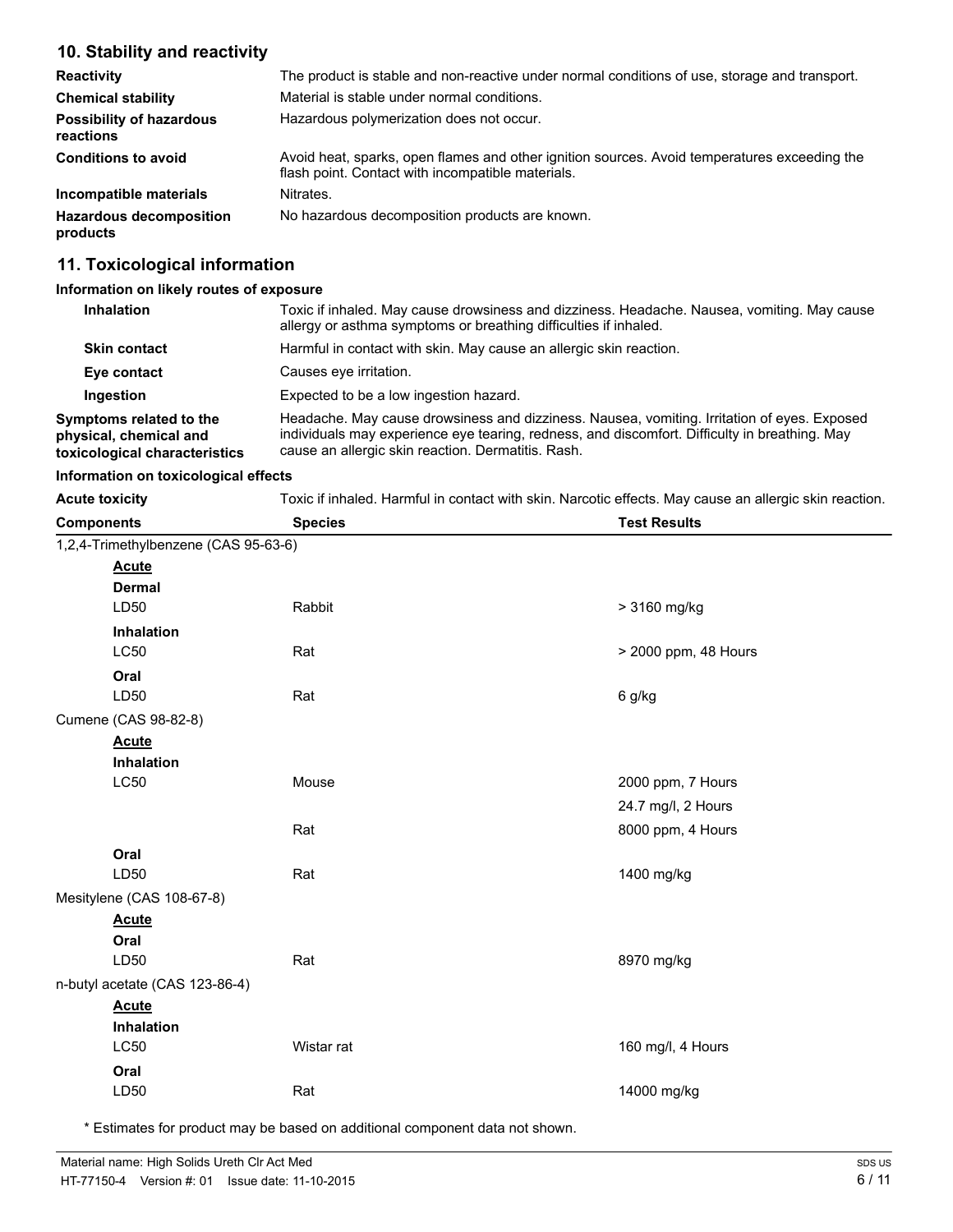### **10. Stability and reactivity**

| <b>Reactivity</b>                            | The product is stable and non-reactive under normal conditions of use, storage and transport.                                                     |
|----------------------------------------------|---------------------------------------------------------------------------------------------------------------------------------------------------|
| <b>Chemical stability</b>                    | Material is stable under normal conditions.                                                                                                       |
| <b>Possibility of hazardous</b><br>reactions | Hazardous polymerization does not occur.                                                                                                          |
| <b>Conditions to avoid</b>                   | Avoid heat, sparks, open flames and other ignition sources. Avoid temperatures exceeding the<br>flash point. Contact with incompatible materials. |
| Incompatible materials                       | Nitrates.                                                                                                                                         |
| <b>Hazardous decomposition</b><br>products   | No hazardous decomposition products are known.                                                                                                    |

## **11. Toxicological information**

#### **Information on likely routes of exposure**

| <b>Inhalation</b>                                                                  | Toxic if inhaled. May cause drowsiness and dizziness. Headache. Nausea, vomiting. May cause<br>allergy or asthma symptoms or breathing difficulties if inhaled.                                                                                    |
|------------------------------------------------------------------------------------|----------------------------------------------------------------------------------------------------------------------------------------------------------------------------------------------------------------------------------------------------|
| <b>Skin contact</b>                                                                | Harmful in contact with skin. May cause an allergic skin reaction.                                                                                                                                                                                 |
| Eye contact                                                                        | Causes eye irritation.                                                                                                                                                                                                                             |
| Ingestion                                                                          | Expected to be a low ingestion hazard.                                                                                                                                                                                                             |
| Symptoms related to the<br>physical, chemical and<br>toxicological characteristics | Headache. May cause drowsiness and dizziness. Nausea, vomiting. Irritation of eyes. Exposed<br>individuals may experience eye tearing, redness, and discomfort. Difficulty in breathing. May<br>cause an allergic skin reaction. Dermatitis. Rash. |

#### **Information on toxicological effects**

| <b>Acute toxicity</b>                | Toxic if inhaled. Harmful in contact with skin. Narcotic effects. May cause an allergic skin reaction. |                      |
|--------------------------------------|--------------------------------------------------------------------------------------------------------|----------------------|
| <b>Components</b>                    | <b>Species</b>                                                                                         | <b>Test Results</b>  |
| 1,2,4-Trimethylbenzene (CAS 95-63-6) |                                                                                                        |                      |
| <b>Acute</b>                         |                                                                                                        |                      |
| <b>Dermal</b>                        |                                                                                                        |                      |
| LD50                                 | Rabbit                                                                                                 | > 3160 mg/kg         |
| Inhalation                           |                                                                                                        |                      |
| <b>LC50</b>                          | Rat                                                                                                    | > 2000 ppm, 48 Hours |
| Oral                                 |                                                                                                        |                      |
| LD50                                 | Rat                                                                                                    | 6 g/kg               |
| Cumene (CAS 98-82-8)                 |                                                                                                        |                      |
| <b>Acute</b>                         |                                                                                                        |                      |
| Inhalation                           |                                                                                                        |                      |
| LC50                                 | Mouse                                                                                                  | 2000 ppm, 7 Hours    |
|                                      |                                                                                                        | 24.7 mg/l, 2 Hours   |
|                                      | Rat                                                                                                    | 8000 ppm, 4 Hours    |
| Oral                                 |                                                                                                        |                      |
| LD50                                 | Rat                                                                                                    | 1400 mg/kg           |
| Mesitylene (CAS 108-67-8)            |                                                                                                        |                      |
| <b>Acute</b>                         |                                                                                                        |                      |
| Oral                                 |                                                                                                        |                      |
| LD50                                 | Rat                                                                                                    | 8970 mg/kg           |
| n-butyl acetate (CAS 123-86-4)       |                                                                                                        |                      |
| <b>Acute</b>                         |                                                                                                        |                      |
| Inhalation                           |                                                                                                        |                      |
| LC50                                 | Wistar rat                                                                                             | 160 mg/l, 4 Hours    |
| Oral                                 |                                                                                                        |                      |
| LD50                                 | Rat                                                                                                    | 14000 mg/kg          |

\* Estimates for product may be based on additional component data not shown.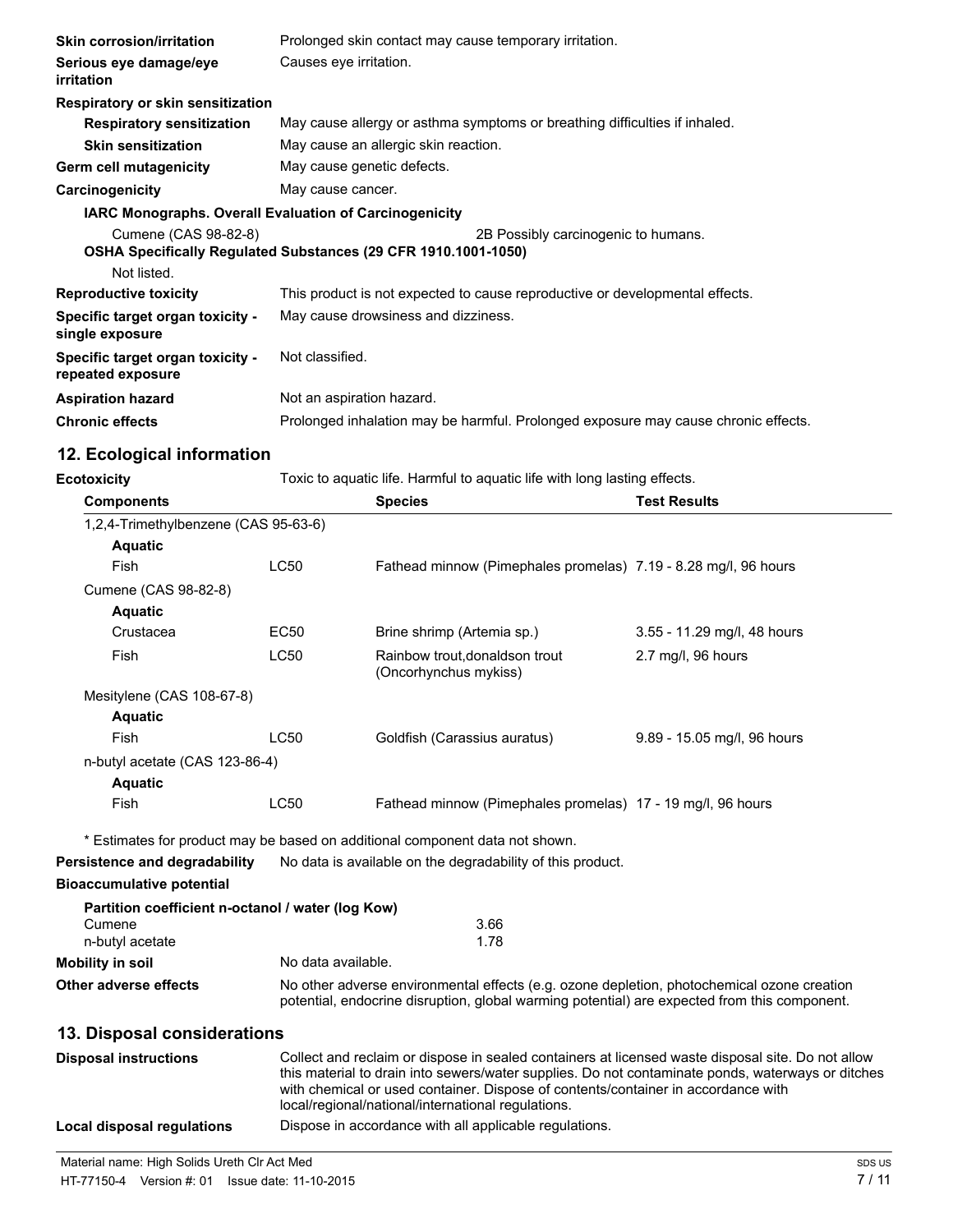| <b>Skin corrosion/irritation</b>                              | Prolonged skin contact may cause temporary irritation.                                                |  |  |
|---------------------------------------------------------------|-------------------------------------------------------------------------------------------------------|--|--|
| Serious eye damage/eye<br>irritation                          | Causes eye irritation.                                                                                |  |  |
| Respiratory or skin sensitization                             |                                                                                                       |  |  |
| <b>Respiratory sensitization</b>                              | May cause allergy or asthma symptoms or breathing difficulties if inhaled.                            |  |  |
| <b>Skin sensitization</b>                                     | May cause an allergic skin reaction.                                                                  |  |  |
| Germ cell mutagenicity                                        | May cause genetic defects.                                                                            |  |  |
| Carcinogenicity                                               | May cause cancer.                                                                                     |  |  |
| <b>IARC Monographs. Overall Evaluation of Carcinogenicity</b> |                                                                                                       |  |  |
| Cumene (CAS 98-82-8)<br>Not listed.                           | 2B Possibly carcinogenic to humans.<br>OSHA Specifically Regulated Substances (29 CFR 1910.1001-1050) |  |  |
| <b>Reproductive toxicity</b>                                  | This product is not expected to cause reproductive or developmental effects.                          |  |  |
| Specific target organ toxicity -<br>single exposure           | May cause drowsiness and dizziness.                                                                   |  |  |
| Specific target organ toxicity -<br>repeated exposure         | Not classified.                                                                                       |  |  |
| <b>Aspiration hazard</b>                                      | Not an aspiration hazard.                                                                             |  |  |
| <b>Chronic effects</b>                                        | Prolonged inhalation may be harmful. Prolonged exposure may cause chronic effects.                    |  |  |

# **12. Ecological information**

| <b>Ecotoxicity</b> | Toxic to aquatic life. Harmful to aquatic life with long lasting effects. |  |
|--------------------|---------------------------------------------------------------------------|--|
|                    |                                                                           |  |

| <b>Components</b>                                 |                                                                                                                                                                                            | <b>Species</b>                                                               | <b>Test Results</b>         |
|---------------------------------------------------|--------------------------------------------------------------------------------------------------------------------------------------------------------------------------------------------|------------------------------------------------------------------------------|-----------------------------|
| 1,2,4-Trimethylbenzene (CAS 95-63-6)              |                                                                                                                                                                                            |                                                                              |                             |
| <b>Aquatic</b>                                    |                                                                                                                                                                                            |                                                                              |                             |
| Fish                                              | <b>LC50</b>                                                                                                                                                                                | Fathead minnow (Pimephales promelas) 7.19 - 8.28 mg/l, 96 hours              |                             |
| Cumene (CAS 98-82-8)                              |                                                                                                                                                                                            |                                                                              |                             |
| <b>Aquatic</b>                                    |                                                                                                                                                                                            |                                                                              |                             |
| Crustacea                                         | EC50                                                                                                                                                                                       | Brine shrimp (Artemia sp.)                                                   | 3.55 - 11.29 mg/l, 48 hours |
| Fish                                              | <b>LC50</b>                                                                                                                                                                                | Rainbow trout, donaldson trout<br>(Oncorhynchus mykiss)                      | 2.7 mg/l, 96 hours          |
| Mesitylene (CAS 108-67-8)                         |                                                                                                                                                                                            |                                                                              |                             |
| <b>Aquatic</b>                                    |                                                                                                                                                                                            |                                                                              |                             |
| Fish                                              | <b>LC50</b>                                                                                                                                                                                | Goldfish (Carassius auratus)                                                 | 9.89 - 15.05 mg/l, 96 hours |
| n-butyl acetate (CAS 123-86-4)                    |                                                                                                                                                                                            |                                                                              |                             |
| <b>Aquatic</b>                                    |                                                                                                                                                                                            |                                                                              |                             |
| Fish                                              | <b>LC50</b>                                                                                                                                                                                | Fathead minnow (Pimephales promelas) 17 - 19 mg/l, 96 hours                  |                             |
|                                                   |                                                                                                                                                                                            | * Estimates for product may be based on additional component data not shown. |                             |
| Persistence and degradability                     |                                                                                                                                                                                            | No data is available on the degradability of this product.                   |                             |
| <b>Bioaccumulative potential</b>                  |                                                                                                                                                                                            |                                                                              |                             |
| Partition coefficient n-octanol / water (log Kow) |                                                                                                                                                                                            |                                                                              |                             |
| Cumene                                            | 3.66                                                                                                                                                                                       |                                                                              |                             |
| n-butyl acetate                                   | 1.78                                                                                                                                                                                       |                                                                              |                             |
| Mobility in soil                                  | No data available.                                                                                                                                                                         |                                                                              |                             |
| Other adverse effects                             | No other adverse environmental effects (e.g. ozone depletion, photochemical ozone creation<br>potential, endocrine disruption, global warming potential) are expected from this component. |                                                                              |                             |

## **13. Disposal considerations**

| <b>Disposal instructions</b> | Collect and reclaim or dispose in sealed containers at licensed waste disposal site. Do not allow<br>this material to drain into sewers/water supplies. Do not contaminate ponds, waterways or ditches<br>with chemical or used container. Dispose of contents/container in accordance with<br>local/regional/national/international regulations. |
|------------------------------|---------------------------------------------------------------------------------------------------------------------------------------------------------------------------------------------------------------------------------------------------------------------------------------------------------------------------------------------------|
| Local disposal regulations   | Dispose in accordance with all applicable regulations.                                                                                                                                                                                                                                                                                            |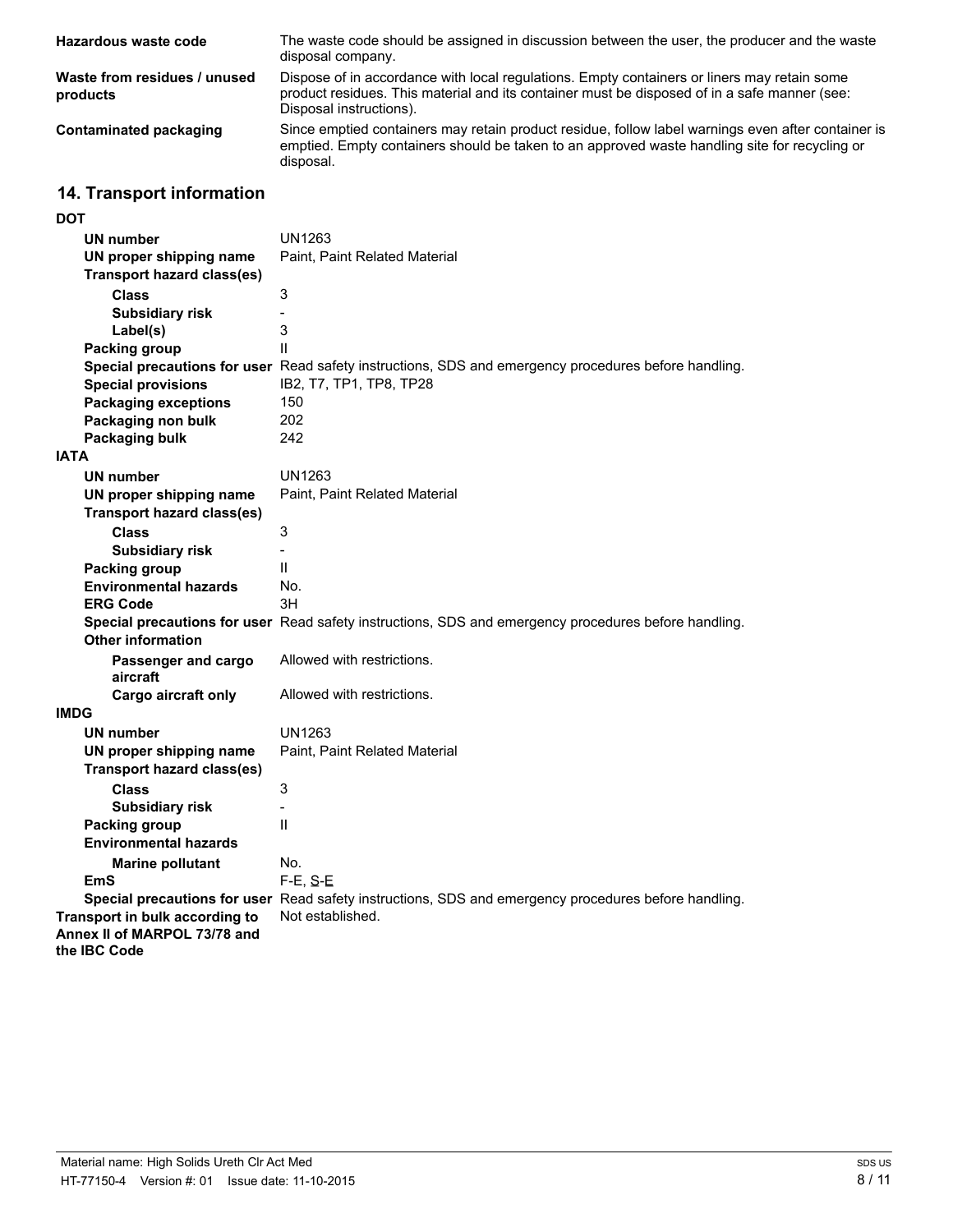| Hazardous waste code                     | The waste code should be assigned in discussion between the user, the producer and the waste<br>disposal company.                                                                                                      |
|------------------------------------------|------------------------------------------------------------------------------------------------------------------------------------------------------------------------------------------------------------------------|
| Waste from residues / unused<br>products | Dispose of in accordance with local regulations. Empty containers or liners may retain some<br>product residues. This material and its container must be disposed of in a safe manner (see:<br>Disposal instructions). |
| Contaminated packaging                   | Since emptied containers may retain product residue, follow label warnings even after container is<br>emptied. Empty containers should be taken to an approved waste handling site for recycling or<br>disposal.       |

# **14. Transport information**

| UN1263<br><b>UN number</b><br>Paint, Paint Related Material<br>UN proper shipping name<br><b>Transport hazard class(es)</b><br>3<br><b>Class</b><br><b>Subsidiary risk</b><br>$\overline{\phantom{0}}$<br>3<br>Label(s)<br>$\mathsf{II}$<br><b>Packing group</b><br>Special precautions for user Read safety instructions, SDS and emergency procedures before handling.<br>IB2, T7, TP1, TP8, TP28<br><b>Special provisions</b><br><b>Packaging exceptions</b><br>150<br>Packaging non bulk<br>202<br>242<br>Packaging bulk<br><b>IATA</b><br>UN1263<br><b>UN number</b><br>UN proper shipping name<br>Paint, Paint Related Material<br><b>Transport hazard class(es)</b><br>3<br><b>Class</b><br><b>Subsidiary risk</b><br>$\overline{a}$<br>Ш<br><b>Packing group</b><br><b>Environmental hazards</b><br>No.<br><b>ERG Code</b><br>ЗH<br>Special precautions for user Read safety instructions, SDS and emergency procedures before handling.<br><b>Other information</b><br>Allowed with restrictions.<br>Passenger and cargo<br>aircraft<br>Cargo aircraft only<br>Allowed with restrictions. |
|----------------------------------------------------------------------------------------------------------------------------------------------------------------------------------------------------------------------------------------------------------------------------------------------------------------------------------------------------------------------------------------------------------------------------------------------------------------------------------------------------------------------------------------------------------------------------------------------------------------------------------------------------------------------------------------------------------------------------------------------------------------------------------------------------------------------------------------------------------------------------------------------------------------------------------------------------------------------------------------------------------------------------------------------------------------------------------------------------|
|                                                                                                                                                                                                                                                                                                                                                                                                                                                                                                                                                                                                                                                                                                                                                                                                                                                                                                                                                                                                                                                                                                    |
|                                                                                                                                                                                                                                                                                                                                                                                                                                                                                                                                                                                                                                                                                                                                                                                                                                                                                                                                                                                                                                                                                                    |
|                                                                                                                                                                                                                                                                                                                                                                                                                                                                                                                                                                                                                                                                                                                                                                                                                                                                                                                                                                                                                                                                                                    |
|                                                                                                                                                                                                                                                                                                                                                                                                                                                                                                                                                                                                                                                                                                                                                                                                                                                                                                                                                                                                                                                                                                    |
|                                                                                                                                                                                                                                                                                                                                                                                                                                                                                                                                                                                                                                                                                                                                                                                                                                                                                                                                                                                                                                                                                                    |
|                                                                                                                                                                                                                                                                                                                                                                                                                                                                                                                                                                                                                                                                                                                                                                                                                                                                                                                                                                                                                                                                                                    |
|                                                                                                                                                                                                                                                                                                                                                                                                                                                                                                                                                                                                                                                                                                                                                                                                                                                                                                                                                                                                                                                                                                    |
|                                                                                                                                                                                                                                                                                                                                                                                                                                                                                                                                                                                                                                                                                                                                                                                                                                                                                                                                                                                                                                                                                                    |
|                                                                                                                                                                                                                                                                                                                                                                                                                                                                                                                                                                                                                                                                                                                                                                                                                                                                                                                                                                                                                                                                                                    |
|                                                                                                                                                                                                                                                                                                                                                                                                                                                                                                                                                                                                                                                                                                                                                                                                                                                                                                                                                                                                                                                                                                    |
|                                                                                                                                                                                                                                                                                                                                                                                                                                                                                                                                                                                                                                                                                                                                                                                                                                                                                                                                                                                                                                                                                                    |
|                                                                                                                                                                                                                                                                                                                                                                                                                                                                                                                                                                                                                                                                                                                                                                                                                                                                                                                                                                                                                                                                                                    |
|                                                                                                                                                                                                                                                                                                                                                                                                                                                                                                                                                                                                                                                                                                                                                                                                                                                                                                                                                                                                                                                                                                    |
|                                                                                                                                                                                                                                                                                                                                                                                                                                                                                                                                                                                                                                                                                                                                                                                                                                                                                                                                                                                                                                                                                                    |
|                                                                                                                                                                                                                                                                                                                                                                                                                                                                                                                                                                                                                                                                                                                                                                                                                                                                                                                                                                                                                                                                                                    |
|                                                                                                                                                                                                                                                                                                                                                                                                                                                                                                                                                                                                                                                                                                                                                                                                                                                                                                                                                                                                                                                                                                    |
|                                                                                                                                                                                                                                                                                                                                                                                                                                                                                                                                                                                                                                                                                                                                                                                                                                                                                                                                                                                                                                                                                                    |
|                                                                                                                                                                                                                                                                                                                                                                                                                                                                                                                                                                                                                                                                                                                                                                                                                                                                                                                                                                                                                                                                                                    |
|                                                                                                                                                                                                                                                                                                                                                                                                                                                                                                                                                                                                                                                                                                                                                                                                                                                                                                                                                                                                                                                                                                    |
|                                                                                                                                                                                                                                                                                                                                                                                                                                                                                                                                                                                                                                                                                                                                                                                                                                                                                                                                                                                                                                                                                                    |
|                                                                                                                                                                                                                                                                                                                                                                                                                                                                                                                                                                                                                                                                                                                                                                                                                                                                                                                                                                                                                                                                                                    |
|                                                                                                                                                                                                                                                                                                                                                                                                                                                                                                                                                                                                                                                                                                                                                                                                                                                                                                                                                                                                                                                                                                    |
|                                                                                                                                                                                                                                                                                                                                                                                                                                                                                                                                                                                                                                                                                                                                                                                                                                                                                                                                                                                                                                                                                                    |
|                                                                                                                                                                                                                                                                                                                                                                                                                                                                                                                                                                                                                                                                                                                                                                                                                                                                                                                                                                                                                                                                                                    |
|                                                                                                                                                                                                                                                                                                                                                                                                                                                                                                                                                                                                                                                                                                                                                                                                                                                                                                                                                                                                                                                                                                    |
|                                                                                                                                                                                                                                                                                                                                                                                                                                                                                                                                                                                                                                                                                                                                                                                                                                                                                                                                                                                                                                                                                                    |
| <b>IMDG</b>                                                                                                                                                                                                                                                                                                                                                                                                                                                                                                                                                                                                                                                                                                                                                                                                                                                                                                                                                                                                                                                                                        |
| <b>UN number</b><br>UN1263                                                                                                                                                                                                                                                                                                                                                                                                                                                                                                                                                                                                                                                                                                                                                                                                                                                                                                                                                                                                                                                                         |
| UN proper shipping name<br>Paint, Paint Related Material                                                                                                                                                                                                                                                                                                                                                                                                                                                                                                                                                                                                                                                                                                                                                                                                                                                                                                                                                                                                                                           |
| <b>Transport hazard class(es)</b>                                                                                                                                                                                                                                                                                                                                                                                                                                                                                                                                                                                                                                                                                                                                                                                                                                                                                                                                                                                                                                                                  |
| 3<br><b>Class</b>                                                                                                                                                                                                                                                                                                                                                                                                                                                                                                                                                                                                                                                                                                                                                                                                                                                                                                                                                                                                                                                                                  |
| <b>Subsidiary risk</b><br>$\overline{\phantom{0}}$                                                                                                                                                                                                                                                                                                                                                                                                                                                                                                                                                                                                                                                                                                                                                                                                                                                                                                                                                                                                                                                 |
| $\mathsf{II}$<br><b>Packing group</b>                                                                                                                                                                                                                                                                                                                                                                                                                                                                                                                                                                                                                                                                                                                                                                                                                                                                                                                                                                                                                                                              |
| <b>Environmental hazards</b>                                                                                                                                                                                                                                                                                                                                                                                                                                                                                                                                                                                                                                                                                                                                                                                                                                                                                                                                                                                                                                                                       |
| <b>Marine pollutant</b><br>No.                                                                                                                                                                                                                                                                                                                                                                                                                                                                                                                                                                                                                                                                                                                                                                                                                                                                                                                                                                                                                                                                     |
| EmS<br>$F-E$ , $S-E$                                                                                                                                                                                                                                                                                                                                                                                                                                                                                                                                                                                                                                                                                                                                                                                                                                                                                                                                                                                                                                                                               |
| Special precautions for user Read safety instructions, SDS and emergency procedures before handling.                                                                                                                                                                                                                                                                                                                                                                                                                                                                                                                                                                                                                                                                                                                                                                                                                                                                                                                                                                                               |
| Not established.<br>Transport in bulk according to<br>Annex II of MARPOL 73/78 and                                                                                                                                                                                                                                                                                                                                                                                                                                                                                                                                                                                                                                                                                                                                                                                                                                                                                                                                                                                                                 |
| the <b>IBC</b> Code                                                                                                                                                                                                                                                                                                                                                                                                                                                                                                                                                                                                                                                                                                                                                                                                                                                                                                                                                                                                                                                                                |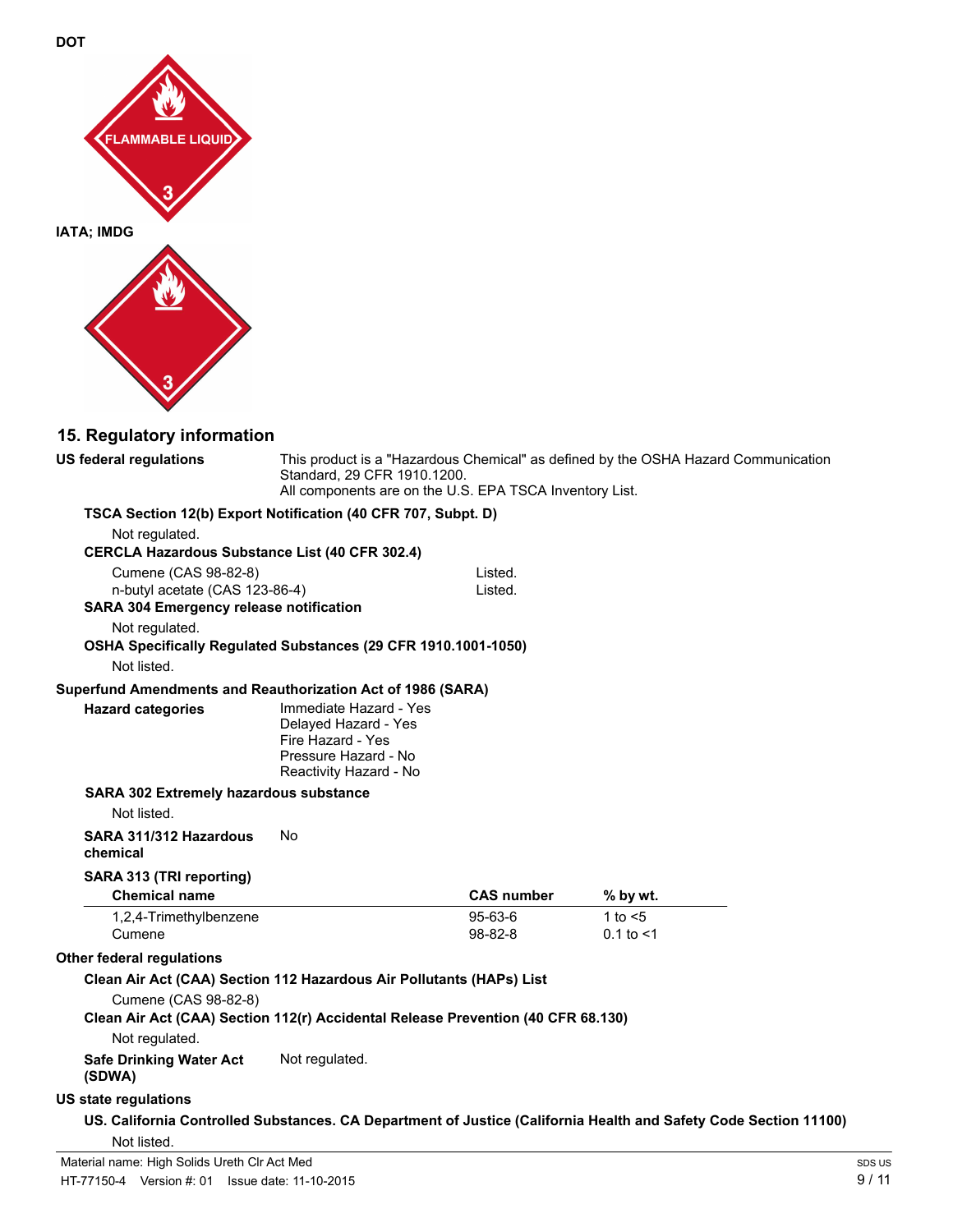

# **15. Regulatory information**

| <b>US federal regulations</b>                                           | This product is a "Hazardous Chemical" as defined by the OSHA Hazard Communication<br>Standard, 29 CFR 1910.1200.<br>All components are on the U.S. EPA TSCA Inventory List. |                    |                                                                                                                  |
|-------------------------------------------------------------------------|------------------------------------------------------------------------------------------------------------------------------------------------------------------------------|--------------------|------------------------------------------------------------------------------------------------------------------|
|                                                                         | TSCA Section 12(b) Export Notification (40 CFR 707, Subpt. D)                                                                                                                |                    |                                                                                                                  |
| Not regulated.<br><b>CERCLA Hazardous Substance List (40 CFR 302.4)</b> |                                                                                                                                                                              |                    |                                                                                                                  |
| Cumene (CAS 98-82-8)                                                    |                                                                                                                                                                              | Listed.            |                                                                                                                  |
| n-butyl acetate (CAS 123-86-4)                                          |                                                                                                                                                                              | Listed.            |                                                                                                                  |
| <b>SARA 304 Emergency release notification</b>                          |                                                                                                                                                                              |                    |                                                                                                                  |
| Not regulated.                                                          |                                                                                                                                                                              |                    |                                                                                                                  |
| Not listed.                                                             | OSHA Specifically Regulated Substances (29 CFR 1910.1001-1050)                                                                                                               |                    |                                                                                                                  |
| Superfund Amendments and Reauthorization Act of 1986 (SARA)             |                                                                                                                                                                              |                    |                                                                                                                  |
| <b>Hazard categories</b>                                                | Immediate Hazard - Yes<br>Delayed Hazard - Yes<br>Fire Hazard - Yes<br>Pressure Hazard - No<br>Reactivity Hazard - No                                                        |                    |                                                                                                                  |
| SARA 302 Extremely hazardous substance                                  |                                                                                                                                                                              |                    |                                                                                                                  |
| Not listed.                                                             |                                                                                                                                                                              |                    |                                                                                                                  |
| SARA 311/312 Hazardous<br>chemical                                      | No                                                                                                                                                                           |                    |                                                                                                                  |
| SARA 313 (TRI reporting)                                                |                                                                                                                                                                              |                    |                                                                                                                  |
| <b>Chemical name</b>                                                    |                                                                                                                                                                              | <b>CAS number</b>  | % by wt.                                                                                                         |
| 1,2,4-Trimethylbenzene<br>Cumene                                        |                                                                                                                                                                              | 95-63-6<br>98-82-8 | 1 to $<$ 5<br>$0.1$ to $< 1$                                                                                     |
| <b>Other federal regulations</b>                                        |                                                                                                                                                                              |                    |                                                                                                                  |
|                                                                         | Clean Air Act (CAA) Section 112 Hazardous Air Pollutants (HAPs) List                                                                                                         |                    |                                                                                                                  |
| Cumene (CAS 98-82-8)                                                    | Clean Air Act (CAA) Section 112(r) Accidental Release Prevention (40 CFR 68.130)                                                                                             |                    |                                                                                                                  |
| Not regulated.                                                          |                                                                                                                                                                              |                    |                                                                                                                  |
| <b>Safe Drinking Water Act</b><br>(SDWA)                                | Not regulated.                                                                                                                                                               |                    |                                                                                                                  |
| <b>US state regulations</b>                                             |                                                                                                                                                                              |                    |                                                                                                                  |
| Not listed.                                                             |                                                                                                                                                                              |                    | US. California Controlled Substances. CA Department of Justice (California Health and Safety Code Section 11100) |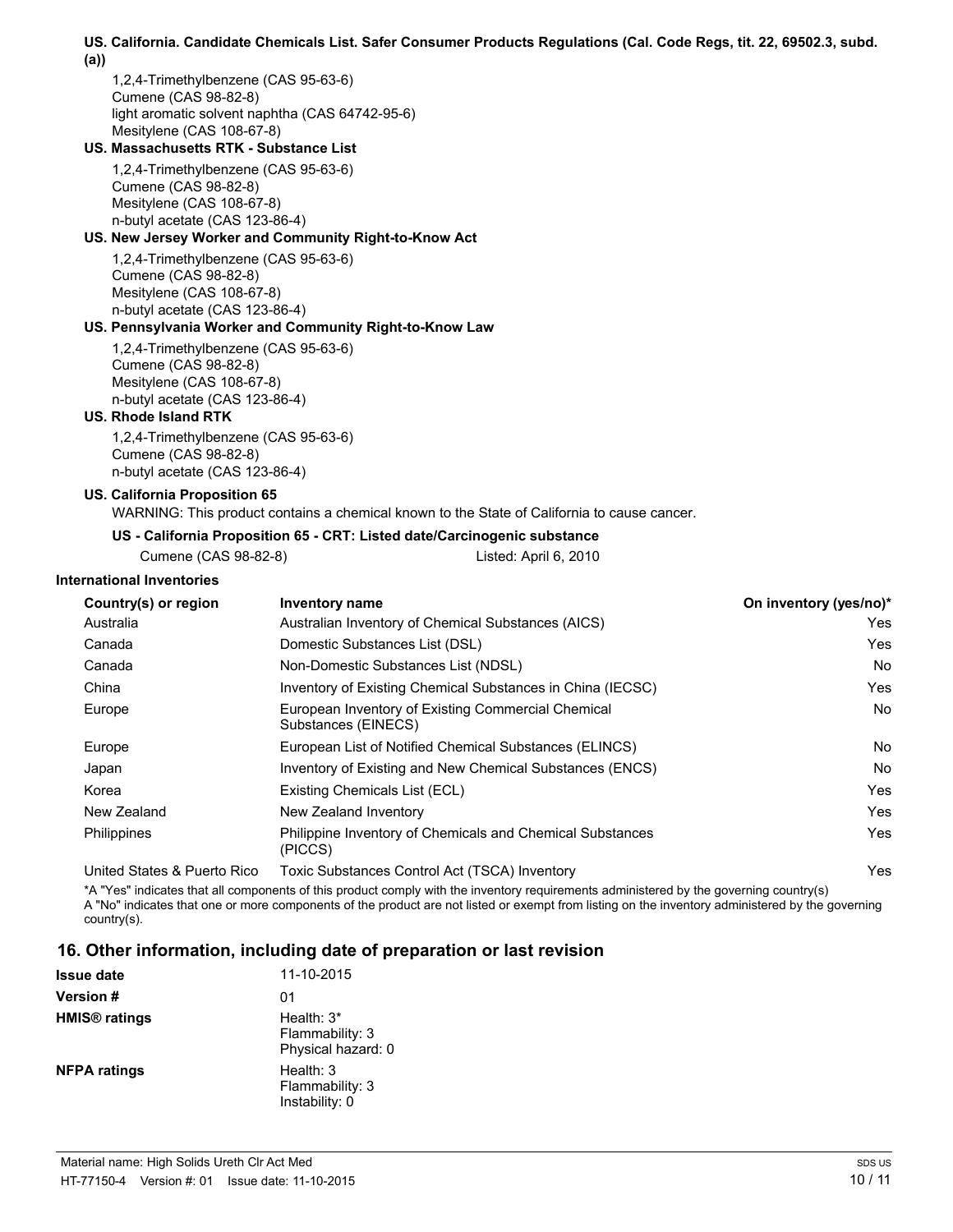#### **US. California. Candidate Chemicals List. Safer Consumer Products Regulations (Cal. Code Regs, tit. 22, 69502.3, subd. (a))**

1,2,4-Trimethylbenzene (CAS 95-63-6) Cumene (CAS 98-82-8) light aromatic solvent naphtha (CAS 64742-95-6) Mesitylene (CAS 108-67-8)

#### **US. Massachusetts RTK - Substance List**

1,2,4-Trimethylbenzene (CAS 95-63-6) Cumene (CAS 98-82-8) Mesitylene (CAS 108-67-8) n-butyl acetate (CAS 123-86-4)

#### **US. New Jersey Worker and Community Right-to-Know Act**

1,2,4-Trimethylbenzene (CAS 95-63-6) Cumene (CAS 98-82-8) Mesitylene (CAS 108-67-8) n-butyl acetate (CAS 123-86-4)

#### **US. Pennsylvania Worker and Community Right-to-Know Law**

1,2,4-Trimethylbenzene (CAS 95-63-6) Cumene (CAS 98-82-8) Mesitylene (CAS 108-67-8) n-butyl acetate (CAS 123-86-4)

#### **US. Rhode Island RTK**

1,2,4-Trimethylbenzene (CAS 95-63-6) Cumene (CAS 98-82-8) n-butyl acetate (CAS 123-86-4)

#### **US. California Proposition 65**

WARNING: This product contains a chemical known to the State of California to cause cancer.

#### **US - California Proposition 65 - CRT: Listed date/Carcinogenic substance**

Cumene (CAS 98-82-8) Listed: April 6, 2010

#### **International Inventories**

| Country(s) or region        | Inventory name                                                            | On inventory (yes/no)* |
|-----------------------------|---------------------------------------------------------------------------|------------------------|
| Australia                   | Australian Inventory of Chemical Substances (AICS)                        | Yes                    |
| Canada                      | Domestic Substances List (DSL)                                            | Yes                    |
| Canada                      | Non-Domestic Substances List (NDSL)                                       | No                     |
| China                       | Inventory of Existing Chemical Substances in China (IECSC)                | Yes                    |
| Europe                      | European Inventory of Existing Commercial Chemical<br>Substances (EINECS) | No                     |
| Europe                      | European List of Notified Chemical Substances (ELINCS)                    | No                     |
| Japan                       | Inventory of Existing and New Chemical Substances (ENCS)                  | No                     |
| Korea                       | Existing Chemicals List (ECL)                                             | Yes                    |
| New Zealand                 | New Zealand Inventory                                                     | Yes                    |
| <b>Philippines</b>          | Philippine Inventory of Chemicals and Chemical Substances<br>(PICCS)      | Yes                    |
| Hoited States & Puerto Pico | Toxic Substances Control Act (TSCA) Inventory                             | Voc                    |

es Control Act (TSCA) Inventory

\*A "Yes" indicates that all components of this product comply with the inventory requirements administered by the governing country(s) A "No" indicates that one or more components of the product are not listed or exempt from listing on the inventory administered by the governing country(s).

### **16. Other information, including date of preparation or last revision**

| <b>Issue date</b>               | 11-10-2015                                            |
|---------------------------------|-------------------------------------------------------|
| <b>Version #</b>                | 01                                                    |
| <b>HMIS<sup>®</sup></b> ratings | Health: $3*$<br>Flammability: 3<br>Physical hazard: 0 |
| <b>NFPA ratings</b>             | Health: $3$<br>Flammability: 3<br>Instability: 0      |